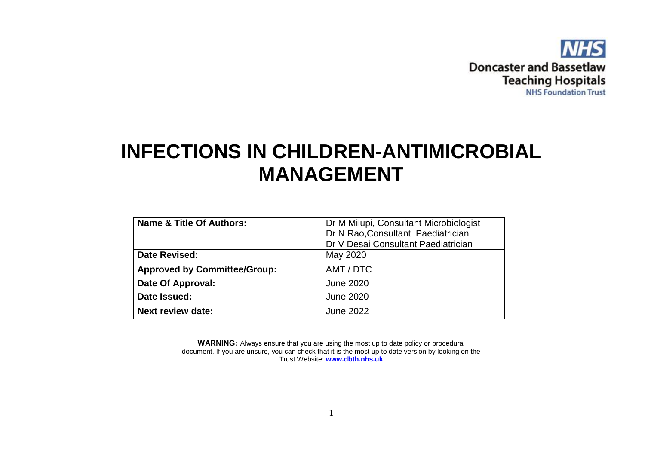

# **INFECTIONS IN CHILDREN-ANTIMICROBIAL MANAGEMENT**

| Name & Title Of Authors:            | Dr M Milupi, Consultant Microbiologist |  |  |
|-------------------------------------|----------------------------------------|--|--|
|                                     | Dr N Rao, Consultant Paediatrician     |  |  |
|                                     | Dr V Desai Consultant Paediatrician    |  |  |
| Date Revised:                       | May 2020                               |  |  |
| <b>Approved by Committee/Group:</b> | AMT / DTC                              |  |  |
| Date Of Approval:                   | <b>June 2020</b>                       |  |  |
| Date Issued:                        | <b>June 2020</b>                       |  |  |
| <b>Next review date:</b>            | <b>June 2022</b>                       |  |  |

**WARNING:** Always ensure that you are using the most up to date policy or procedural document. If you are unsure, you can check that it is the most up to date version by looking on the Trust Website: **www.dbth.nhs.uk**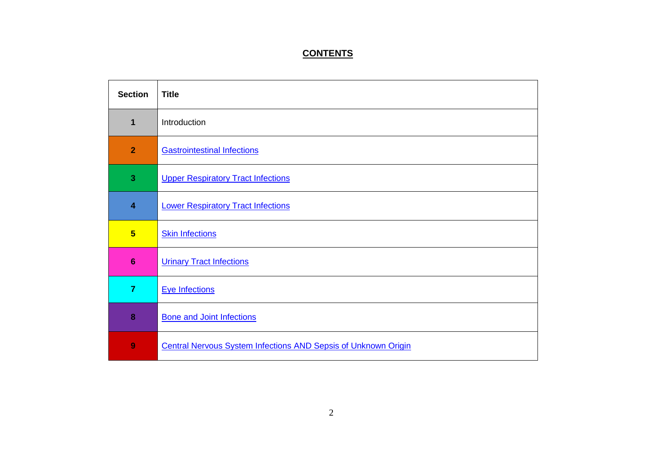## **CONTENTS**

| <b>Section</b>          | <b>Title</b>                                                          |
|-------------------------|-----------------------------------------------------------------------|
| 1                       | Introduction                                                          |
| $\overline{2}$          | <b>Gastrointestinal Infections</b>                                    |
| 3                       | <b>Upper Respiratory Tract Infections</b>                             |
| $\overline{\mathbf{4}}$ | <b>Lower Respiratory Tract Infections</b>                             |
| $5\phantom{1}$          | <b>Skin Infections</b>                                                |
| $6\phantom{1}6$         | <b>Urinary Tract Infections</b>                                       |
| $\overline{7}$          | <b>Eye Infections</b>                                                 |
| 8                       | <b>Bone and Joint Infections</b>                                      |
| 9                       | <b>Central Nervous System Infections AND Sepsis of Unknown Origin</b> |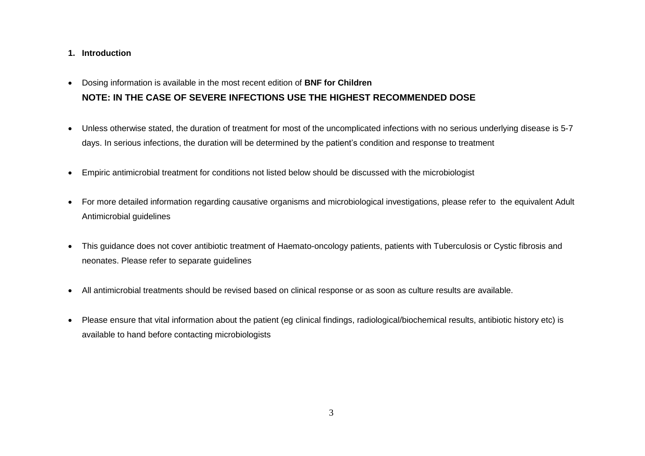#### **1. Introduction**

- Dosing information is available in the most recent edition of **BNF for Children NOTE: IN THE CASE OF SEVERE INFECTIONS USE THE HIGHEST RECOMMENDED DOSE**
- Unless otherwise stated, the duration of treatment for most of the uncomplicated infections with no serious underlying disease is 5-7 days. In serious infections, the duration will be determined by the patient's condition and response to treatment
- Empiric antimicrobial treatment for conditions not listed below should be discussed with the microbiologist
- For more detailed information regarding causative organisms and microbiological investigations, please refer to the equivalent Adult Antimicrobial guidelines
- This guidance does not cover antibiotic treatment of Haemato-oncology patients, patients with Tuberculosis or Cystic fibrosis and neonates. Please refer to separate guidelines
- All antimicrobial treatments should be revised based on clinical response or as soon as culture results are available.
- Please ensure that vital information about the patient (eg clinical findings, radiological/biochemical results, antibiotic history etc) is available to hand before contacting microbiologists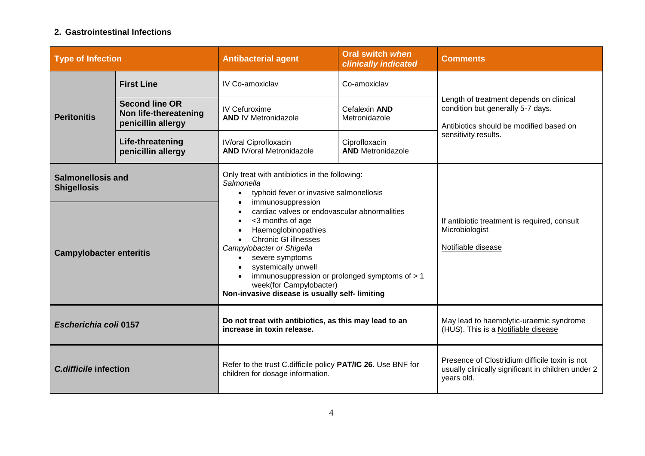### <span id="page-3-0"></span>**2. Gastrointestinal Infections**

| <b>Type of Infection</b>                                                         |                                                                      | <b>Antibacterial agent</b>                                                                                                                                                                                                                                                                                                                                                                                                                                                           | <b>Oral switch when</b><br>clinically indicated | <b>Comments</b>                                                                                                         |
|----------------------------------------------------------------------------------|----------------------------------------------------------------------|--------------------------------------------------------------------------------------------------------------------------------------------------------------------------------------------------------------------------------------------------------------------------------------------------------------------------------------------------------------------------------------------------------------------------------------------------------------------------------------|-------------------------------------------------|-------------------------------------------------------------------------------------------------------------------------|
|                                                                                  | <b>First Line</b>                                                    | IV Co-amoxiclav                                                                                                                                                                                                                                                                                                                                                                                                                                                                      | Co-amoxiclav                                    |                                                                                                                         |
| <b>Peritonitis</b>                                                               | <b>Second line OR</b><br>Non life-thereatening<br>penicillin allergy | IV Cefuroxime<br><b>AND IV Metronidazole</b>                                                                                                                                                                                                                                                                                                                                                                                                                                         | Cefalexin AND<br>Metronidazole                  | Length of treatment depends on clinical<br>condition but generally 5-7 days.<br>Antibiotics should be modified based on |
|                                                                                  | Life-threatening<br>penicillin allergy                               | <b>IV/oral Ciprofloxacin</b><br><b>AND IV/oral Metronidazole</b>                                                                                                                                                                                                                                                                                                                                                                                                                     | Ciprofloxacin<br><b>AND Metronidazole</b>       | sensitivity results.                                                                                                    |
| <b>Salmonellosis and</b><br><b>Shigellosis</b><br><b>Campylobacter enteritis</b> |                                                                      | Only treat with antibiotics in the following:<br>Salmonella<br>typhoid fever or invasive salmonellosis<br>$\bullet$<br>immunosuppression<br>cardiac valves or endovascular abnormalities<br><3 months of age<br>Haemoglobinopathies<br><b>Chronic GI illnesses</b><br>Campylobacter or Shigella<br>severe symptoms<br>$\bullet$<br>systemically unwell<br>immunosuppression or prolonged symptoms of > 1<br>week(for Campylobacter)<br>Non-invasive disease is usually self-limiting |                                                 | If antibiotic treatment is required, consult<br>Microbiologist<br>Notifiable disease                                    |
| Escherichia coli 0157                                                            |                                                                      | Do not treat with antibiotics, as this may lead to an<br>increase in toxin release.                                                                                                                                                                                                                                                                                                                                                                                                  |                                                 | May lead to haemolytic-uraemic syndrome<br>(HUS). This is a Notifiable disease                                          |
| C.difficile infection                                                            |                                                                      | Refer to the trust C.difficile policy PAT/IC 26. Use BNF for<br>children for dosage information.                                                                                                                                                                                                                                                                                                                                                                                     |                                                 | Presence of Clostridium difficile toxin is not<br>usually clinically significant in children under 2<br>years old.      |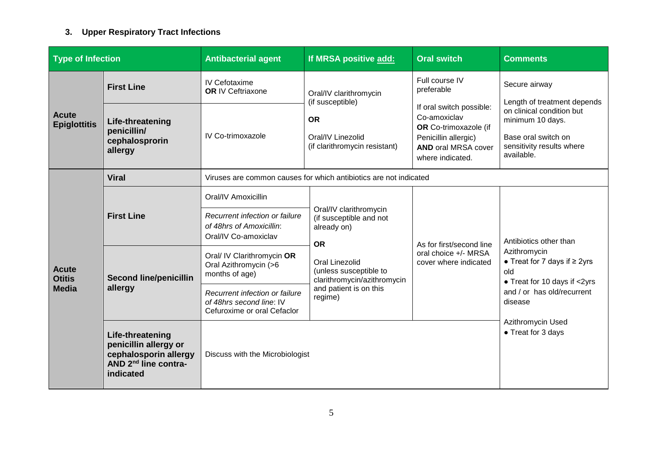# <span id="page-4-0"></span>**3. Upper Respiratory Tract Infections**

| <b>Type of Infection</b>            |                                                                                                                     | <b>Antibacterial agent</b>                                                                | If MRSA positive add:                                                          | <b>Oral switch</b>                                                                                                                          | <b>Comments</b>                                                                                                    |
|-------------------------------------|---------------------------------------------------------------------------------------------------------------------|-------------------------------------------------------------------------------------------|--------------------------------------------------------------------------------|---------------------------------------------------------------------------------------------------------------------------------------------|--------------------------------------------------------------------------------------------------------------------|
| <b>Acute</b><br><b>Epiglottitis</b> | <b>First Line</b>                                                                                                   | IV Cefotaxime<br><b>OR IV Ceftriaxone</b>                                                 | Oral/IV clarithromycin<br>(if susceptible)                                     | Full course IV<br>preferable                                                                                                                | Secure airway<br>Length of treatment depends                                                                       |
|                                     | Life-threatening<br>penicillin/<br>cephalosprorin<br>allergy                                                        | IV Co-trimoxazole                                                                         | <b>OR</b><br>Oral/IV Linezolid<br>(if clarithromycin resistant)                | If oral switch possible:<br>Co-amoxiclav<br>OR Co-trimoxazole (if<br>Penicillin allergic)<br><b>AND oral MRSA cover</b><br>where indicated. | on clinical condition but<br>minimum 10 days.<br>Base oral switch on<br>sensitivity results where<br>available.    |
|                                     | <b>Viral</b>                                                                                                        |                                                                                           | Viruses are common causes for which antibiotics are not indicated              |                                                                                                                                             |                                                                                                                    |
|                                     | <b>First Line</b>                                                                                                   | Oral/IV Amoxicillin                                                                       | Oral/IV clarithromycin                                                         | As for first/second line<br>oral choice +/- MRSA<br>cover where indicated                                                                   | Antibiotics other than<br>Azithromycin<br>• Treat for 7 days if $\geq$ 2yrs<br>old<br>• Treat for 10 days if <2yrs |
|                                     |                                                                                                                     | Recurrent infection or failure<br>of 48hrs of Amoxicillin:<br>Oral/IV Co-amoxiclav        | (if susceptible and not<br>already on)<br><b>OR</b>                            |                                                                                                                                             |                                                                                                                    |
| <b>Acute</b><br><b>Otitis</b>       | months of age)<br><b>Second line/penicillin</b><br>allergy                                                          | Oral/ IV Clarithromycin OR<br>Oral Azithromycin (>6                                       | <b>Oral Linezolid</b><br>(unless susceptible to<br>clarithromycin/azithromycin |                                                                                                                                             |                                                                                                                    |
| <b>Media</b>                        |                                                                                                                     | Recurrent infection or failure<br>of 48hrs second line: IV<br>Cefuroxime or oral Cefaclor | and patient is on this<br>regime)                                              |                                                                                                                                             | and / or has old/recurrent<br>disease                                                                              |
|                                     | Life-threatening<br>penicillin allergy or<br>cephalosporin allergy<br>AND 2 <sup>nd</sup> line contra-<br>indicated | Discuss with the Microbiologist                                                           |                                                                                |                                                                                                                                             | Azithromycin Used<br>• Treat for 3 days                                                                            |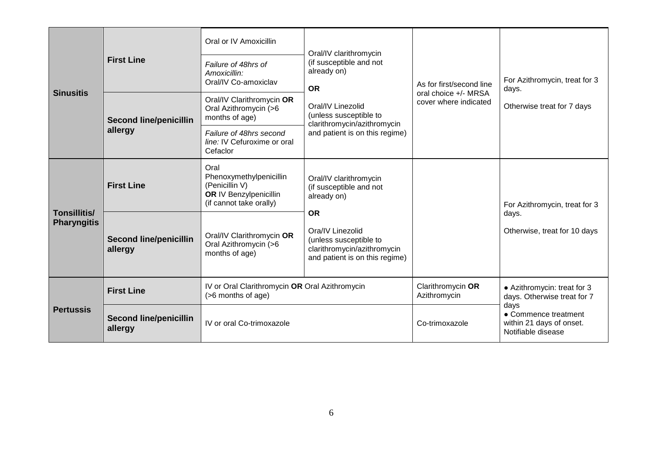| <b>Sinusitis</b>                   | <b>First Line</b><br><b>Second line/penicillin</b> | Oral or IV Amoxicillin<br>Failure of 48hrs of<br>Amoxicillin:<br>Oral/IV Co-amoxiclav<br>Oral/IV Clarithromycin OR<br>Oral Azithromycin (>6<br>months of age) | Oral/IV clarithromycin<br>(if susceptible and not<br>already on)<br><b>OR</b><br>Oral/IV Linezolid<br>(unless susceptible to<br>clarithromycin/azithromycin | As for first/second line<br>oral choice +/- MRSA<br>cover where indicated | For Azithromycin, treat for 3<br>days.<br>Otherwise treat for 7 days           |
|------------------------------------|----------------------------------------------------|---------------------------------------------------------------------------------------------------------------------------------------------------------------|-------------------------------------------------------------------------------------------------------------------------------------------------------------|---------------------------------------------------------------------------|--------------------------------------------------------------------------------|
|                                    | allergy                                            | Failure of 48hrs second<br>line: IV Cefuroxime or oral<br>Cefaclor                                                                                            | and patient is on this regime)                                                                                                                              |                                                                           |                                                                                |
| Tonsillitis/<br><b>Pharyngitis</b> | <b>First Line</b>                                  | Oral<br>Phenoxymethylpenicillin<br>(Penicillin V)<br><b>OR IV Benzylpenicillin</b><br>(if cannot take orally)                                                 | Oral/IV clarithromycin<br>(if susceptible and not<br>already on)                                                                                            |                                                                           | For Azithromycin, treat for 3                                                  |
|                                    | <b>Second line/penicillin</b><br>allergy           | Oral/IV Clarithromycin OR<br>Oral Azithromycin (>6<br>months of age)                                                                                          | <b>OR</b><br>Ora/IV Linezolid<br>(unless susceptible to<br>clarithromycin/azithromycin<br>and patient is on this regime)                                    |                                                                           | days.<br>Otherwise, treat for 10 days                                          |
| <b>Pertussis</b>                   | <b>First Line</b>                                  | (>6 months of age)                                                                                                                                            | IV or Oral Clarithromycin OR Oral Azithromycin                                                                                                              |                                                                           | • Azithromycin: treat for 3<br>days. Otherwise treat for 7                     |
|                                    | <b>Second line/penicillin</b><br>allergy           | IV or oral Co-trimoxazole                                                                                                                                     |                                                                                                                                                             | Co-trimoxazole                                                            | days<br>• Commence treatment<br>within 21 days of onset.<br>Notifiable disease |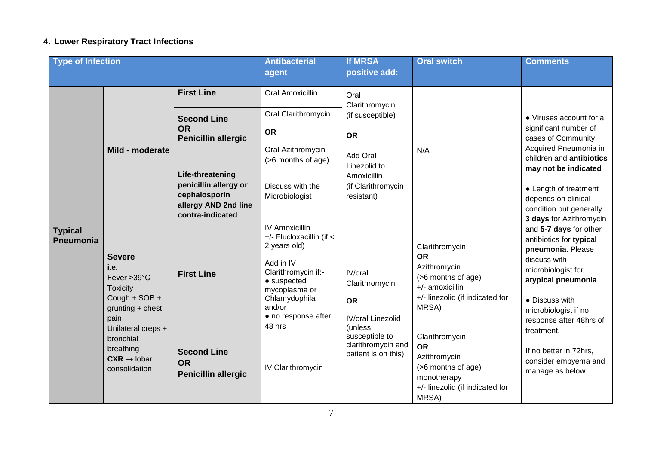# <span id="page-6-0"></span>**4. Lower Respiratory Tract Infections**

| <b>Type of Infection</b>           |                                                                                                                                                                                                                                                                                   |                                                                                                                                                                                                           | <b>Antibacterial</b>                                                          | <b>If MRSA</b>                                                                                                                   | <b>Oral switch</b>                                                                                                                                                                                      | <b>Comments</b>                                                                                                                    |
|------------------------------------|-----------------------------------------------------------------------------------------------------------------------------------------------------------------------------------------------------------------------------------------------------------------------------------|-----------------------------------------------------------------------------------------------------------------------------------------------------------------------------------------------------------|-------------------------------------------------------------------------------|----------------------------------------------------------------------------------------------------------------------------------|---------------------------------------------------------------------------------------------------------------------------------------------------------------------------------------------------------|------------------------------------------------------------------------------------------------------------------------------------|
|                                    |                                                                                                                                                                                                                                                                                   |                                                                                                                                                                                                           | agent                                                                         | positive add:                                                                                                                    |                                                                                                                                                                                                         |                                                                                                                                    |
| <b>Typical</b><br><b>Pneumonia</b> | <b>First Line</b><br><b>Second Line</b><br><b>OR</b><br>Mild - moderate                                                                                                                                                                                                           |                                                                                                                                                                                                           | Oral Amoxicillin                                                              | Oral<br>Clarithromycin                                                                                                           |                                                                                                                                                                                                         |                                                                                                                                    |
|                                    |                                                                                                                                                                                                                                                                                   | Penicillin allergic                                                                                                                                                                                       | Oral Clarithromycin<br><b>OR</b><br>Oral Azithromycin<br>(>6 months of age)   | (if susceptible)<br><b>OR</b><br>Add Oral<br>Linezolid to                                                                        | N/A                                                                                                                                                                                                     | • Viruses account for a<br>significant number of<br>cases of Community<br>Acquired Pneumonia in<br>children and <b>antibiotics</b> |
|                                    |                                                                                                                                                                                                                                                                                   | Life-threatening<br>penicillin allergy or<br>cephalosporin<br>allergy AND 2nd line<br>contra-indicated                                                                                                    | Discuss with the<br>Microbiologist                                            | Amoxicillin<br>(if Clarithromycin<br>resistant)                                                                                  |                                                                                                                                                                                                         | may not be indicated<br>• Length of treatment<br>depends on clinical<br>condition but generally<br>3 days for Azithromycin         |
|                                    | <b>Severe</b><br>i.e.<br><b>First Line</b><br>Fever >39°C<br><b>Toxicity</b><br>Cough + SOB +<br>$grunting + chest$<br>pain<br>Unilateral creps +<br>bronchial<br>breathing<br><b>Second Line</b><br>$CXR \rightarrow$ lobar<br><b>OR</b><br>consolidation<br>Penicillin allergic | <b>IV Amoxicillin</b><br>+/- Flucloxacillin (if <<br>2 years old)<br>Add in IV<br>Clarithromycin if:-<br>$\bullet$ suspected<br>mycoplasma or<br>Chlamydophila<br>and/or<br>• no response after<br>48 hrs | IV/oral<br>Clarithromycin<br><b>OR</b><br><b>IV/oral Linezolid</b><br>(unless | Clarithromycin<br><b>OR</b><br>Azithromycin<br>(>6 months of age)<br>+/- amoxicillin<br>+/- linezolid (if indicated for<br>MRSA) | and 5-7 days for other<br>antibiotics for typical<br>pneumonia. Please<br>discuss with<br>microbiologist for<br>atypical pneumonia<br>• Discuss with<br>microbiologist if no<br>response after 48hrs of |                                                                                                                                    |
|                                    |                                                                                                                                                                                                                                                                                   |                                                                                                                                                                                                           | <b>IV Clarithromycin</b>                                                      | susceptible to<br>clarithromycin and<br>patient is on this)                                                                      | Clarithromycin<br><b>OR</b><br>Azithromycin<br>(>6 months of age)<br>monotherapy<br>+/- linezolid (if indicated for<br>MRSA)                                                                            | treatment.<br>If no better in 72hrs,<br>consider empyema and<br>manage as below                                                    |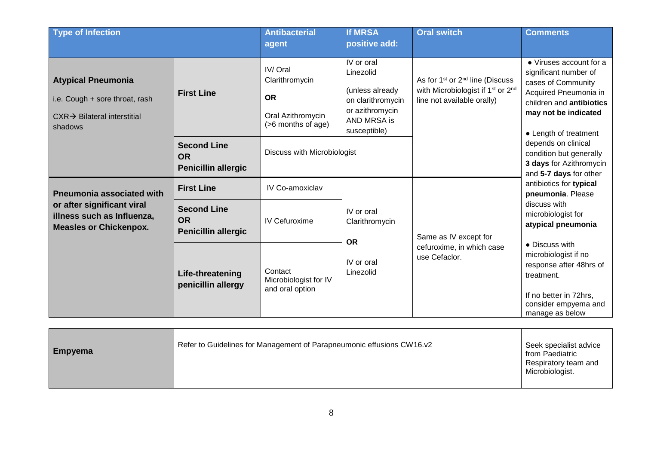| <b>Type of Infection</b>                                                                                          |                                                               | <b>Antibacterial</b><br>agent                                                     | <b>If MRSA</b><br>positive add:                                                                                   | <b>Oral switch</b>                                                                                                                                 | <b>Comments</b>                                                                                                                                                                                                                                                                                                                                                         |
|-------------------------------------------------------------------------------------------------------------------|---------------------------------------------------------------|-----------------------------------------------------------------------------------|-------------------------------------------------------------------------------------------------------------------|----------------------------------------------------------------------------------------------------------------------------------------------------|-------------------------------------------------------------------------------------------------------------------------------------------------------------------------------------------------------------------------------------------------------------------------------------------------------------------------------------------------------------------------|
| <b>Atypical Pneumonia</b><br>i.e. Cough + sore throat, rash<br>$CXR \rightarrow Blateral$ interstitial<br>shadows | <b>First Line</b>                                             | IV/Oral<br>Clarithromycin<br><b>OR</b><br>Oral Azithromycin<br>(>6 months of age) | IV or oral<br>Linezolid<br>(unless already<br>on clarithromycin<br>or azithromycin<br>AND MRSA is<br>susceptible) | As for 1 <sup>st</sup> or 2 <sup>nd</sup> line (Discuss<br>with Microbiologist if 1 <sup>st</sup> or 2 <sup>nd</sup><br>line not available orally) | • Viruses account for a<br>significant number of<br>cases of Community<br>Acquired Pneumonia in<br>children and <b>antibiotics</b><br>may not be indicated<br>• Length of treatment                                                                                                                                                                                     |
|                                                                                                                   | <b>Second Line</b><br><b>OR</b><br><b>Penicillin allergic</b> | Discuss with Microbiologist                                                       |                                                                                                                   |                                                                                                                                                    | depends on clinical<br>condition but generally<br>3 days for Azithromycin<br>and 5-7 days for other<br>antibiotics for typical<br>pneumonia. Please<br>discuss with<br>microbiologist for<br>atypical pneumonia<br>• Discuss with<br>microbiologist if no<br>response after 48hrs of<br>treatment.<br>If no better in 72hrs,<br>consider empyema and<br>manage as below |
| <b>Pneumonia associated with</b>                                                                                  | <b>First Line</b>                                             | <b>IV Co-amoxiclav</b>                                                            |                                                                                                                   |                                                                                                                                                    |                                                                                                                                                                                                                                                                                                                                                                         |
| or after significant viral<br>illness such as Influenza,<br><b>Measles or Chickenpox.</b>                         | <b>Second Line</b><br><b>OR</b><br><b>Penicillin allergic</b> | <b>IV Cefuroxime</b>                                                              | IV or oral<br>Clarithromycin<br><b>OR</b>                                                                         | Same as IV except for                                                                                                                              |                                                                                                                                                                                                                                                                                                                                                                         |
|                                                                                                                   | Life-threatening<br>penicillin allergy                        | Contact<br>Microbiologist for IV<br>and oral option                               | IV or oral<br>Linezolid                                                                                           | cefuroxime, in which case<br>use Cefaclor.                                                                                                         |                                                                                                                                                                                                                                                                                                                                                                         |

| <b>Empyema</b> | Refer to Guidelines for Management of Parapneumonic effusions CW16.v2 | Seek specialist advice<br>from Paediatric<br>Respiratory team and<br>Microbiologist. |
|----------------|-----------------------------------------------------------------------|--------------------------------------------------------------------------------------|
|----------------|-----------------------------------------------------------------------|--------------------------------------------------------------------------------------|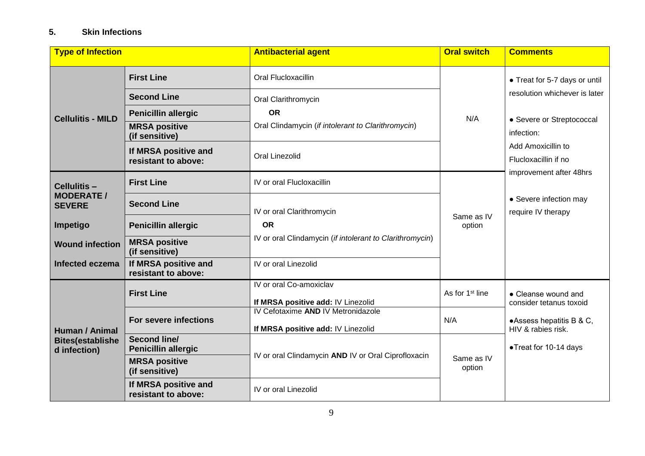#### <span id="page-8-0"></span>**5. Skin Infections**

| <b>Type of Infection</b>                                  |                                                   | <b>Antibacterial agent</b>                                               | <b>Oral switch</b>          | <b>Comments</b>                                                       |
|-----------------------------------------------------------|---------------------------------------------------|--------------------------------------------------------------------------|-----------------------------|-----------------------------------------------------------------------|
|                                                           | <b>First Line</b>                                 | Oral Flucloxacillin                                                      |                             | • Treat for 5-7 days or until                                         |
| <b>Cellulitis - MILD</b>                                  | <b>Second Line</b>                                | Oral Clarithromycin                                                      |                             | resolution whichever is later                                         |
|                                                           | <b>Penicillin allergic</b>                        | <b>OR</b>                                                                | N/A                         | • Severe or Streptococcal                                             |
|                                                           | <b>MRSA positive</b><br>(if sensitive)            | Oral Clindamycin (if intolerant to Clarithromycin)                       |                             | infection:                                                            |
|                                                           | If MRSA positive and<br>resistant to above:       | <b>Oral Linezolid</b>                                                    |                             | Add Amoxicillin to<br>Flucloxacillin if no<br>improvement after 48hrs |
| Cellulitis-                                               | <b>First Line</b>                                 | IV or oral Flucloxacillin                                                |                             |                                                                       |
| <b>MODERATE /</b><br><b>SEVERE</b>                        | <b>Second Line</b>                                | IV or oral Clarithromycin                                                |                             | • Severe infection may<br>require IV therapy                          |
| Impetigo                                                  | <b>Penicillin allergic</b>                        | <b>OR</b>                                                                | Same as IV<br>option        |                                                                       |
| <b>Wound infection</b>                                    | <b>MRSA positive</b><br>(if sensitive)            | IV or oral Clindamycin (if intolerant to Clarithromycin)                 |                             |                                                                       |
| Infected eczema                                           | If MRSA positive and<br>resistant to above:       | IV or oral Linezolid                                                     |                             |                                                                       |
|                                                           | <b>First Line</b>                                 | IV or oral Co-amoxiclav<br>If MRSA positive add: IV Linezolid            | As for 1 <sup>st</sup> line | • Cleanse wound and<br>consider tetanus toxoid                        |
| Human / Animal<br><b>Bites(establishe</b><br>d infection) | For severe infections                             | IV Cefotaxime AND IV Metronidazole<br>If MRSA positive add: IV Linezolid | N/A                         | •Assess hepatitis B & C,<br>HIV & rabies risk.                        |
|                                                           | <b>Second line/</b><br><b>Penicillin allergic</b> | IV or oral Clindamycin AND IV or Oral Ciprofloxacin                      |                             | •Treat for 10-14 days                                                 |
|                                                           | <b>MRSA positive</b><br>(if sensitive)            |                                                                          | Same as IV<br>option        |                                                                       |
|                                                           | If MRSA positive and<br>resistant to above:       | IV or oral Linezolid                                                     |                             |                                                                       |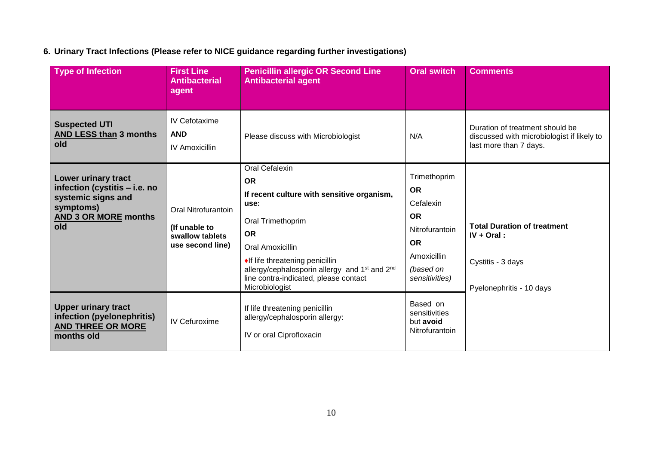# <span id="page-9-0"></span>**6. Urinary Tract Infections (Please refer to NICE guidance regarding further investigations)**

| <b>Type of Infection</b>                                                                                                      | <b>First Line</b><br><b>Antibacterial</b><br>agent                          | <b>Penicillin allergic OR Second Line</b><br><b>Antibacterial agent</b>                                                                                                                                                                                                                                               | <b>Oral switch</b>                                                                                                               | <b>Comments</b>                                                                                         |
|-------------------------------------------------------------------------------------------------------------------------------|-----------------------------------------------------------------------------|-----------------------------------------------------------------------------------------------------------------------------------------------------------------------------------------------------------------------------------------------------------------------------------------------------------------------|----------------------------------------------------------------------------------------------------------------------------------|---------------------------------------------------------------------------------------------------------|
| <b>Suspected UTI</b><br><b>AND LESS than 3 months</b><br>old                                                                  | IV Cefotaxime<br><b>AND</b><br><b>IV Amoxicillin</b>                        | Please discuss with Microbiologist                                                                                                                                                                                                                                                                                    | N/A                                                                                                                              | Duration of treatment should be<br>discussed with microbiologist if likely to<br>last more than 7 days. |
| Lower urinary tract<br>infection (cystitis - i.e. no<br>systemic signs and<br>symptoms)<br><b>AND 3 OR MORE months</b><br>old | Oral Nitrofurantoin<br>(If unable to<br>swallow tablets<br>use second line) | <b>Oral Cefalexin</b><br><b>OR</b><br>If recent culture with sensitive organism,<br>use:<br>Oral Trimethoprim<br><b>OR</b><br>Oral Amoxicillin<br>◆If life threatening penicillin<br>allergy/cephalosporin allergy and 1 <sup>st</sup> and 2 <sup>nd</sup><br>line contra-indicated, please contact<br>Microbiologist | Trimethoprim<br><b>OR</b><br>Cefalexin<br><b>OR</b><br>Nitrofurantoin<br><b>OR</b><br>Amoxicillin<br>(based on<br>sensitivities) | <b>Total Duration of treatment</b><br>$IV + Ord$ :<br>Cystitis - 3 days<br>Pyelonephritis - 10 days     |
| <b>Upper urinary tract</b><br>infection (pyelonephritis)<br><b>AND THREE OR MORE</b><br>months old                            | <b>IV Cefuroxime</b>                                                        | If life threatening penicillin<br>allergy/cephalosporin allergy:<br>IV or oral Ciprofloxacin                                                                                                                                                                                                                          | Based on<br>sensitivities<br>but avoid<br>Nitrofurantoin                                                                         |                                                                                                         |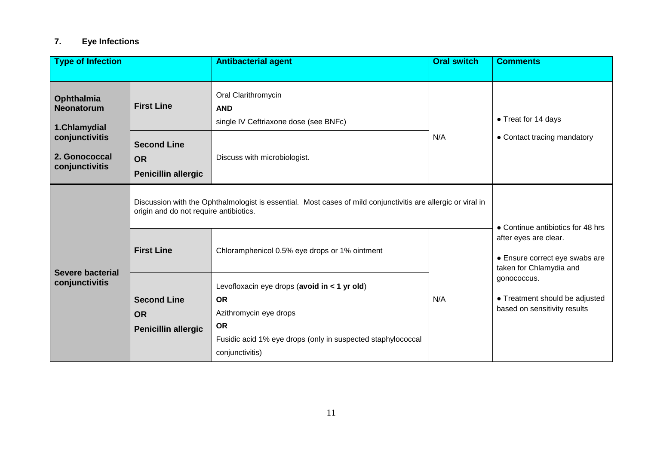#### <span id="page-10-0"></span>**7. Eye Infections**

| <b>Type of Infection</b>                                                                                           |                                                                                                                                                        | <b>Antibacterial agent</b>                                                                                                                                                         | <b>Oral switch</b>                                                                 | <b>Comments</b>                                                               |
|--------------------------------------------------------------------------------------------------------------------|--------------------------------------------------------------------------------------------------------------------------------------------------------|------------------------------------------------------------------------------------------------------------------------------------------------------------------------------------|------------------------------------------------------------------------------------|-------------------------------------------------------------------------------|
| Ophthalmia<br><b>Neonatorum</b><br>1.Chlamydial                                                                    | <b>First Line</b>                                                                                                                                      | Oral Clarithromycin<br><b>AND</b><br>single IV Ceftriaxone dose (see BNFc)                                                                                                         |                                                                                    | • Treat for 14 days                                                           |
| conjunctivitis<br><b>Second Line</b><br>2. Gonococcal<br><b>OR</b><br>conjunctivitis<br><b>Penicillin allergic</b> |                                                                                                                                                        | Discuss with microbiologist.                                                                                                                                                       | N/A                                                                                | • Contact tracing mandatory                                                   |
|                                                                                                                    | Discussion with the Ophthalmologist is essential. Most cases of mild conjunctivitis are allergic or viral in<br>origin and do not require antibiotics. | • Continue antibiotics for 48 hrs                                                                                                                                                  |                                                                                    |                                                                               |
| <b>Severe bacterial</b><br>conjunctivitis                                                                          | <b>First Line</b>                                                                                                                                      | Chloramphenicol 0.5% eye drops or 1% ointment                                                                                                                                      | after eyes are clear.<br>• Ensure correct eye swabs are<br>taken for Chlamydia and |                                                                               |
|                                                                                                                    | <b>Second Line</b><br><b>OR</b><br>Penicillin allergic                                                                                                 | Levofloxacin eye drops (avoid in < 1 yr old)<br><b>OR</b><br>Azithromycin eye drops<br><b>OR</b><br>Fusidic acid 1% eye drops (only in suspected staphylococcal<br>conjunctivitis) | N/A                                                                                | gonococcus.<br>• Treatment should be adjusted<br>based on sensitivity results |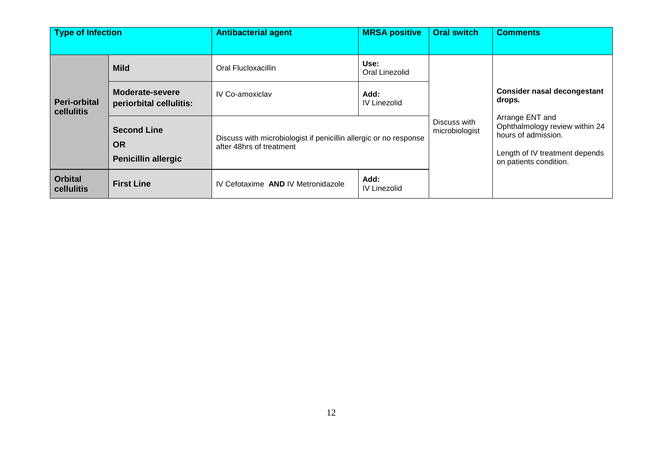| <b>Type of Infection</b>          |                                                               | <b>Antibacterial agent</b>                                                                    | <b>MRSA positive</b>        | <b>Oral switch</b>             | <b>Comments</b>                                                                                                                      |
|-----------------------------------|---------------------------------------------------------------|-----------------------------------------------------------------------------------------------|-----------------------------|--------------------------------|--------------------------------------------------------------------------------------------------------------------------------------|
|                                   |                                                               |                                                                                               |                             |                                |                                                                                                                                      |
| <b>Peri-orbital</b><br>cellulitis | <b>Mild</b>                                                   | Oral Flucloxacillin                                                                           | Use:<br>Oral Linezolid      |                                |                                                                                                                                      |
|                                   | Moderate-severe<br>periorbital cellulitis:                    | <b>IV Co-amoxiclav</b>                                                                        | Add:<br><b>IV Linezolid</b> |                                | <b>Consider nasal decongestant</b><br>drops.                                                                                         |
|                                   | <b>Second Line</b><br><b>OR</b><br><b>Penicillin allergic</b> | Discuss with microbiologist if penicillin allergic or no response<br>after 48hrs of treatment |                             | Discuss with<br>microbiologist | Arrange ENT and<br>Ophthalmology review within 24<br>hours of admission.<br>Length of IV treatment depends<br>on patients condition. |
| <b>Orbital</b><br>cellulitis      | <b>First Line</b>                                             | IV Cefotaxime AND IV Metronidazole                                                            | Add:<br><b>IV Linezolid</b> |                                |                                                                                                                                      |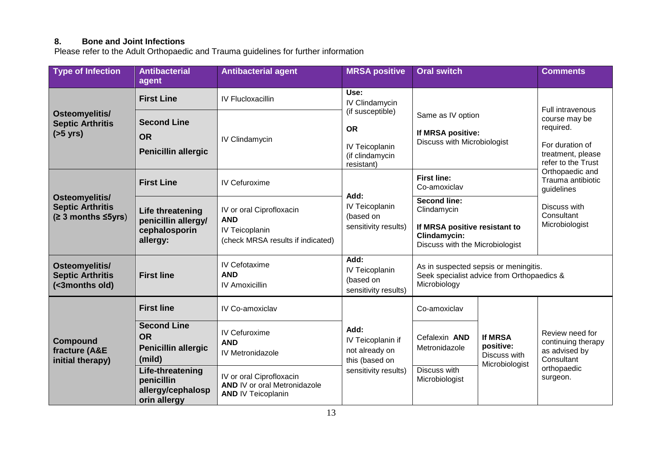#### <span id="page-12-0"></span>**8. Bone and Joint Infections**

Please refer to the Adult Orthopaedic and Trauma guidelines for further information

| <b>Type of Infection</b>                                        | <b>Antibacterial</b>                                                    | <b>Antibacterial agent</b>                                                                    | <b>MRSA positive</b>                                                                  | <b>Oral switch</b>                                                                                                                                           |                                                               | <b>Comments</b>                                                                                                                                                                                                           |
|-----------------------------------------------------------------|-------------------------------------------------------------------------|-----------------------------------------------------------------------------------------------|---------------------------------------------------------------------------------------|--------------------------------------------------------------------------------------------------------------------------------------------------------------|---------------------------------------------------------------|---------------------------------------------------------------------------------------------------------------------------------------------------------------------------------------------------------------------------|
|                                                                 | agent                                                                   |                                                                                               |                                                                                       |                                                                                                                                                              |                                                               |                                                                                                                                                                                                                           |
| Osteomyelitis/<br><b>Septic Arthritis</b><br>$(55 \text{ yrs})$ | <b>First Line</b>                                                       | <b>IV Flucloxacillin</b>                                                                      | Use:<br>IV Clindamycin                                                                | Same as IV option<br>If MRSA positive:<br>Discuss with Microbiologist                                                                                        |                                                               | <b>Full intravenous</b><br>course may be<br>required.<br>For duration of<br>treatment, please<br>refer to the Trust<br>Orthopaedic and<br>Trauma antibiotic<br>guidelines<br>Discuss with<br>Consultant<br>Microbiologist |
|                                                                 | <b>Second Line</b><br><b>OR</b><br><b>Penicillin allergic</b>           | IV Clindamycin                                                                                | (if susceptible)<br><b>OR</b><br>IV Teicoplanin<br>(if clindamycin<br>resistant)      |                                                                                                                                                              |                                                               |                                                                                                                                                                                                                           |
| Osteomyelitis/<br><b>Septic Arthritis</b><br>(≥ 3 months ≤5yrs) | <b>First Line</b>                                                       | <b>IV Cefuroxime</b>                                                                          |                                                                                       | <b>First line:</b><br>Co-amoxiclav<br><b>Second line:</b><br>Clindamycin<br>If MRSA positive resistant to<br>Clindamycin:<br>Discuss with the Microbiologist |                                                               |                                                                                                                                                                                                                           |
|                                                                 | Life threatening<br>penicillin allergy/<br>cephalosporin<br>allergy:    | IV or oral Ciprofloxacin<br><b>AND</b><br>IV Teicoplanin<br>(check MRSA results if indicated) | Add:<br><b>IV Teicoplanin</b><br>(based on<br>sensitivity results)                    |                                                                                                                                                              |                                                               |                                                                                                                                                                                                                           |
| Osteomyelitis/<br><b>Septic Arthritis</b><br>(<3months old)     | <b>First line</b>                                                       | IV Cefotaxime<br><b>AND</b><br><b>IV Amoxicillin</b>                                          | Add:<br><b>IV Teicoplanin</b><br>(based on<br>sensitivity results)                    | As in suspected sepsis or meningitis.<br>Seek specialist advice from Orthopaedics &<br>Microbiology                                                          |                                                               |                                                                                                                                                                                                                           |
| <b>Compound</b><br>fracture (A&E<br>initial therapy)            | <b>First line</b>                                                       | IV Co-amoxiclav                                                                               | Add:<br>IV Teicoplanin if<br>not already on<br>this (based on<br>sensitivity results) | Co-amoxiclav                                                                                                                                                 | <b>If MRSA</b><br>positive:<br>Discuss with<br>Microbiologist | Review need for<br>continuing therapy<br>as advised by<br>Consultant<br>orthopaedic<br>surgeon.                                                                                                                           |
|                                                                 | <b>Second Line</b><br><b>OR</b><br><b>Penicillin allergic</b><br>(mild) | IV Cefuroxime<br><b>AND</b><br>IV Metronidazole                                               |                                                                                       | Cefalexin AND<br>Metronidazole                                                                                                                               |                                                               |                                                                                                                                                                                                                           |
|                                                                 | Life-threatening<br>penicillin<br>allergy/cephalosp<br>orin allergy     | IV or oral Ciprofloxacin<br><b>AND IV or oral Metronidazole</b><br><b>AND IV Teicoplanin</b>  |                                                                                       | Discuss with<br>Microbiologist                                                                                                                               |                                                               |                                                                                                                                                                                                                           |